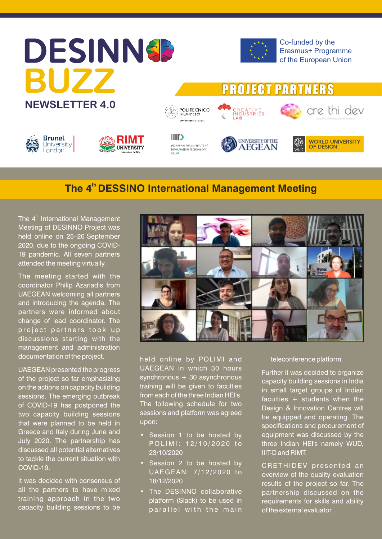# **DESINNSP BUZZ NEWSLETTER 4.0**



**PROJECT PARTNERS** 

Co-funded by the Erasmus+ Programme of the European Union







े POLITECNICO **CALLANO LEGA** 



CREATIVE<br>Industries<br>LAB



cre thi dev

# **The 4<sup>th</sup> DESSINO International Management Meeting**

The 4<sup>th</sup> International Management Meeting of DESINNO Project was held online on 25–26 September 2020, due to the ongoing COVID-19 pandemic. All seven partners attended the meeting virtually.

The meeting started with the coordinator Philip Azariadis from UAEGEAN welcoming all partners and introducing the agenda. The partners were informed about change of lead coordinator. The project partners took up discussions starting with the management and administration documentation of the project.

UAEGEAN presented the progress of the project so far emphasizing on the actions on capacity building sessions. The emerging outbreak of COVID-19 has postponed the two capacity building sessions that were planned to be held in Greece and Italy during June and July 2020. The partnership has discussed all potential alternatives to tackle the current situation with COVID-19.

It was decided with consensus of all the partners to have mixed training approach in the two capacity building sessions to be



held online by POLIMI and UAEGEAN in which 30 hours synchronous  $+30$  asynchronous training will be given to faculties from each of the three Indian HEI's. The following schedule for two sessions and platform was agreed upon:

- Session 1 to be hosted by POLIMI: 12/10/2020 to 23/10/2020
- Session 2 to be hosted by UAEGEAN: 7/12/2020 to 18/12/2020
- The DESINNO collaborative platform (Slack) to be used in parallel with the main

teleconference platform.

Further it was decided to organize capacity building sessions in India in small target groups of Indian faculties + students when the Design & Innovation Centres will be equipped and operating. The specifications and procurement of equipment was discussed by the three Indian HEI's namely WUD, IIIT-D and RIMT.

CRETHIDEV presented an overview of the quality evaluation results of the project so far. The partnership discussed on the requirements for skills and ability of the external evaluator.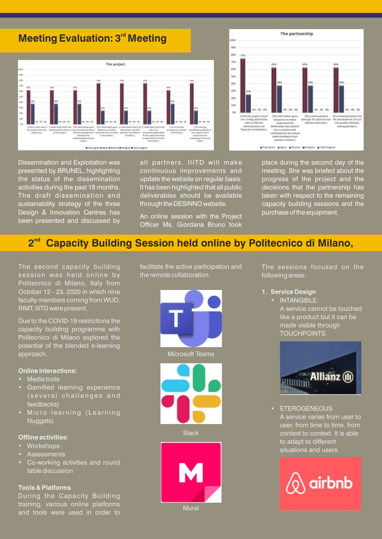# **Meeting Evaluation: 3<sup>rd</sup> Meeting**



Dissemination and Exploitation was presented by BRUNEL, highlighting the status of the dissemination activities during the past 18 months. The draft dissemination and sustainability strategy of the three Design & Innovation Centres has been presented and discussed by

all partners. IIITD will make continuous improvements and update the website on regular basis. It has been highlighted that all public deliverables should be available through the DESINNO website.

An online session with the Project Officer Ms. Giordana Bruno took

place during the second day of the meeting. She was briefed about the progress of the project and the decisions that the partnership has taken with respect to the remaining capacity building sessions and the purchase of the equipment.

# 2<sup>nd</sup> Capacity Building Session held online by Politecnico di Milano,

The second capacity building session was held online by Politecnico di Milano, Italy from October 12 - 23, 2020 in which nine faculty members coming from WUD, RIMT, IIITD were present.

Due to the COVID-19 restrictions the capacity building programme with Politecnico di Milano explored the potential of the blended e-learning approach.

#### **Online interactions:**

- Media tools
- Gamified learning experience (several challenges and feedbacks)
- Micro learning (Learning Nuggets)

## **Offline activities:**

- **Workshops**
- **Assessments**
- Co-working activities and round table discussion

## **Tools & Platforms**

During the Capacity Building training, various online platforms and tools were used in order to facilitate the active participation and the remote collaboration.





**Slack** 

Mural

**1. Service Design**

following areas:

The sessions focused on the

• INTANGIBLE: A service cannot be touched like a product but it can be made visible through TOUCHPOINTS.



**ETEROGENEOUS** A service varies from user to user, from time to time, from context to context. It is able to adapt to different situations and users.



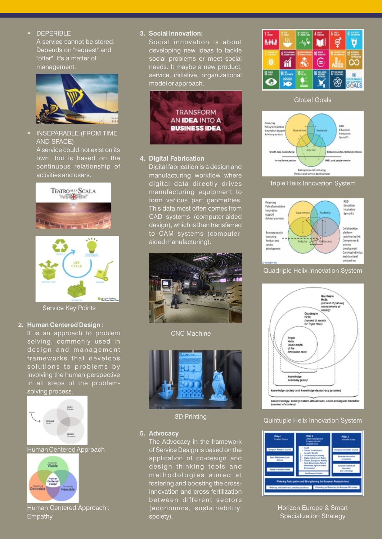## • DEPERIBLE

A service cannot be stored. Depends on "request" and "offer". It's a matter of management.



 • INSEPARABLE (FROM TIME AND SPACE) A service could not exist on its own, but is based on the continuous relationship of activities and users.



Service Key Points

#### **2. Human Centered Design :**

It is an approach to problem solving, commonly used in design and management frameworks that develops solutions to problems by involving the human perspective in all steps of the problemsolving process.



#### Human Centered Approach



Human Centered Approach : Empathy

#### **3. Social Innovation:**

Social innovation is about developing new ideas to tackle social problems or meet social needs. It maybe a new product, service, initiative, organizational model or approach.



## **4. Digital Fabrication**

Digital fabrication is a design and manufacturing workflow where digital data directly drives manufacturing equipment to form various part geometries. This data most often comes from CAD systems (computer-aided design), which is then transferred to CAM systems (computeraided manufacturing).



CNC Machine



3D Printing

#### **5. Advocacy**

The Advocacy in the framework of Service Design is based on the application of co-design and design thinking tools and methodologies aimed at fostering and boosting the crossinnovation and cross-fertilization between different sectors (economics, sustainability, society).







# Triple Helix Innovation System



# Quadriple Helix Innovation System



## Quintuple Helix Innovation System



Horizon Europe & Smart Specialization Strategy